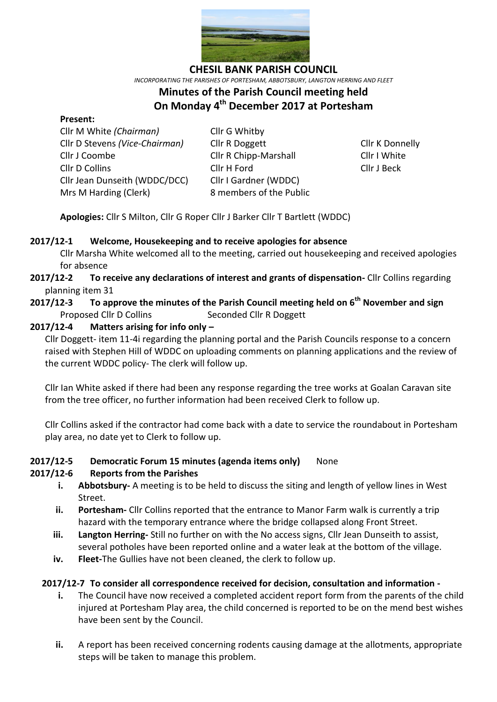

**CHESIL BANK PARISH COUNCIL**

*INCORPORATING THE PARISHES OF PORTESHAM, ABBOTSBURY, LANGTON HERRING AND FLEET*

# **Minutes of the Parish Council meeting held On Monday 4 th December 2017 at Portesham**

#### **Present:**

Cllr M White *(Chairman)* Cllr G Whitby Cllr D Stevens *(Vice-Chairman)* Cllr R Doggett Cllr K Donnelly Cllr J Coombe Cllr R Chipp-Marshall Cllr I White Cllr D Collins Cllr H Ford Cllr J Beck Cllr Jean Dunseith (WDDC/DCC) Cllr I Gardner (WDDC) Mrs M Harding (Clerk)8 members of the Public

**Apologies:** Cllr S Milton, Cllr G Roper Cllr J Barker Cllr T Bartlett (WDDC)

#### **2017/12-1 Welcome, Housekeeping and to receive apologies for absence**

Cllr Marsha White welcomed all to the meeting, carried out housekeeping and received apologies for absence

- **2017/12-2 To receive any declarations of interest and grants of dispensation-** Cllr Collins regarding planning item 31
- **2017/12-3 To approve the minutes of the Parish Council meeting held on 6 th November and sign**  Proposed Cllr D Collins Seconded Cllr R Doggett

## **2017/12-4 Matters arising for info only –**

Cllr Doggett- item 11-4i regarding the planning portal and the Parish Councils response to a concern raised with Stephen Hill of WDDC on uploading comments on planning applications and the review of the current WDDC policy- The clerk will follow up.

Cllr Ian White asked if there had been any response regarding the tree works at Goalan Caravan site from the tree officer, no further information had been received Clerk to follow up.

Cllr Collins asked if the contractor had come back with a date to service the roundabout in Portesham play area, no date yet to Clerk to follow up.

#### **2017/12-5 Democratic Forum 15 minutes (agenda items only)** None

#### **2017/12-6 Reports from the Parishes**

- **i. Abbotsbury-** A meeting is to be held to discuss the siting and length of yellow lines in West Street.
- **ii. Portesham-** Cllr Collins reported that the entrance to Manor Farm walk is currently a trip hazard with the temporary entrance where the bridge collapsed along Front Street.
- **iii. Langton Herring-** Still no further on with the No access signs, Cllr Jean Dunseith to assist, several potholes have been reported online and a water leak at the bottom of the village.
- **iv. Fleet-**The Gullies have not been cleaned, the clerk to follow up.

#### **2017/12-7 To consider all correspondence received for decision, consultation and information -**

- **i.** The Council have now received a completed accident report form from the parents of the child injured at Portesham Play area, the child concerned is reported to be on the mend best wishes have been sent by the Council.
- **ii.** A report has been received concerning rodents causing damage at the allotments, appropriate steps will be taken to manage this problem.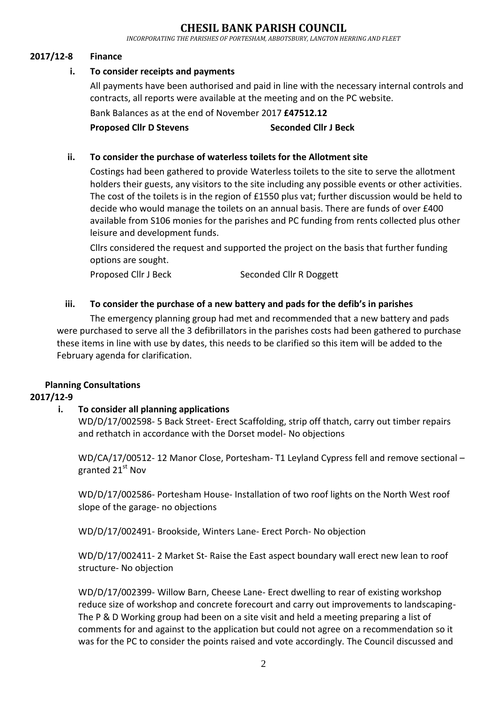## **CHESIL BANK PARISH COUNCIL**

*INCORPORATING THE PARISHES OF PORTESHAM, ABBOTSBURY, LANGTON HERRING AND FLEET*

## **2017/12-8 Finance**

## **i. To consider receipts and payments**

All payments have been authorised and paid in line with the necessary internal controls and contracts, all reports were available at the meeting and on the PC website.

Bank Balances as at the end of November 2017 **£47512.12**

**Proposed Cllr D Stevens Seconded Cllr J Beck**

#### **ii. To consider the purchase of waterless toilets for the Allotment site**

Costings had been gathered to provide Waterless toilets to the site to serve the allotment holders their guests, any visitors to the site including any possible events or other activities. The cost of the toilets is in the region of £1550 plus vat; further discussion would be held to decide who would manage the toilets on an annual basis. There are funds of over £400 available from S106 monies for the parishes and PC funding from rents collected plus other leisure and development funds.

Cllrs considered the request and supported the project on the basis that further funding options are sought.

Proposed Cllr J Beck Seconded Cllr R Doggett

## **iii. To consider the purchase of a new battery and pads for the defib's in parishes**

The emergency planning group had met and recommended that a new battery and pads were purchased to serve all the 3 defibrillators in the parishes costs had been gathered to purchase these items in line with use by dates, this needs to be clarified so this item will be added to the February agenda for clarification.

## **Planning Consultations**

## **2017/12-9**

#### **i. To consider all planning applications**

WD/D/17/002598- 5 Back Street- Erect Scaffolding, strip off thatch, carry out timber repairs and rethatch in accordance with the Dorset model- No objections

WD/CA/17/00512- 12 Manor Close, Portesham- T1 Leyland Cypress fell and remove sectional – granted 21<sup>st</sup> Nov

WD/D/17/002586- Portesham House- Installation of two roof lights on the North West roof slope of the garage- no objections

WD/D/17/002491- Brookside, Winters Lane- Erect Porch- No objection

WD/D/17/002411- 2 Market St- Raise the East aspect boundary wall erect new lean to roof structure- No objection

WD/D/17/002399- Willow Barn, Cheese Lane- Erect dwelling to rear of existing workshop reduce size of workshop and concrete forecourt and carry out improvements to landscaping-The P & D Working group had been on a site visit and held a meeting preparing a list of comments for and against to the application but could not agree on a recommendation so it was for the PC to consider the points raised and vote accordingly. The Council discussed and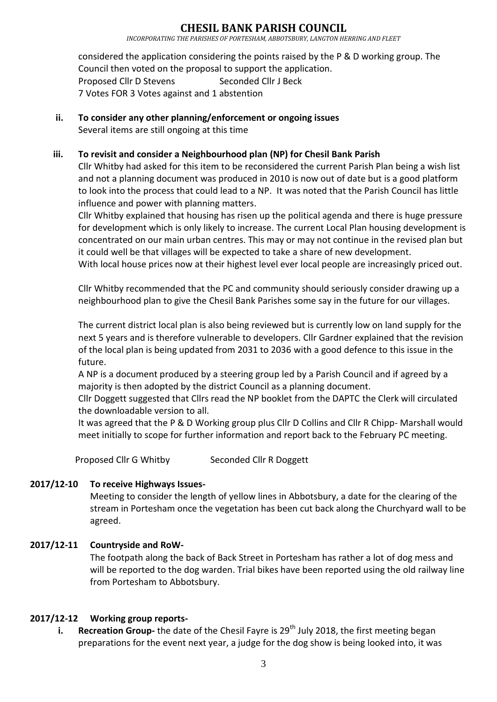## **CHESIL BANK PARISH COUNCIL**

*INCORPORATING THE PARISHES OF PORTESHAM, ABBOTSBURY, LANGTON HERRING AND FLEET*

considered the application considering the points raised by the P & D working group. The Council then voted on the proposal to support the application. Proposed Cllr D Stevens Seconded Cllr J Beck 7 Votes FOR 3 Votes against and 1 abstention

**ii. To consider any other planning/enforcement or ongoing issues** Several items are still ongoing at this time

#### **iii. To revisit and consider a Neighbourhood plan (NP) for Chesil Bank Parish**

Cllr Whitby had asked for this item to be reconsidered the current Parish Plan being a wish list and not a planning document was produced in 2010 is now out of date but is a good platform to look into the process that could lead to a NP. It was noted that the Parish Council has little influence and power with planning matters.

Cllr Whitby explained that housing has risen up the political agenda and there is huge pressure for development which is only likely to increase. The current Local Plan housing development is concentrated on our main urban centres. This may or may not continue in the revised plan but it could well be that villages will be expected to take a share of new development.

With local house prices now at their highest level ever local people are increasingly priced out.

Cllr Whitby recommended that the PC and community should seriously consider drawing up a neighbourhood plan to give the Chesil Bank Parishes some say in the future for our villages.

The current district local plan is also being reviewed but is currently low on land supply for the next 5 years and is therefore vulnerable to developers. Cllr Gardner explained that the revision of the local plan is being updated from 2031 to 2036 with a good defence to this issue in the future.

A NP is a document produced by a steering group led by a Parish Council and if agreed by a majority is then adopted by the district Council as a planning document.

Cllr Doggett suggested that Cllrs read the NP booklet from the DAPTC the Clerk will circulated the downloadable version to all.

It was agreed that the P & D Working group plus Cllr D Collins and Cllr R Chipp- Marshall would meet initially to scope for further information and report back to the February PC meeting.

Proposed Cllr G Whitby Seconded Cllr R Doggett

## **2017/12-10 To receive Highways Issues-**

Meeting to consider the length of yellow lines in Abbotsbury, a date for the clearing of the stream in Portesham once the vegetation has been cut back along the Churchyard wall to be agreed.

## **2017/12-11 Countryside and RoW-**

The footpath along the back of Back Street in Portesham has rather a lot of dog mess and will be reported to the dog warden. Trial bikes have been reported using the old railway line from Portesham to Abbotsbury.

## **2017/12-12 Working group reports-**

**i. Recreation Group-** the date of the Chesil Fayre is 29<sup>th</sup> July 2018, the first meeting began preparations for the event next year, a judge for the dog show is being looked into, it was